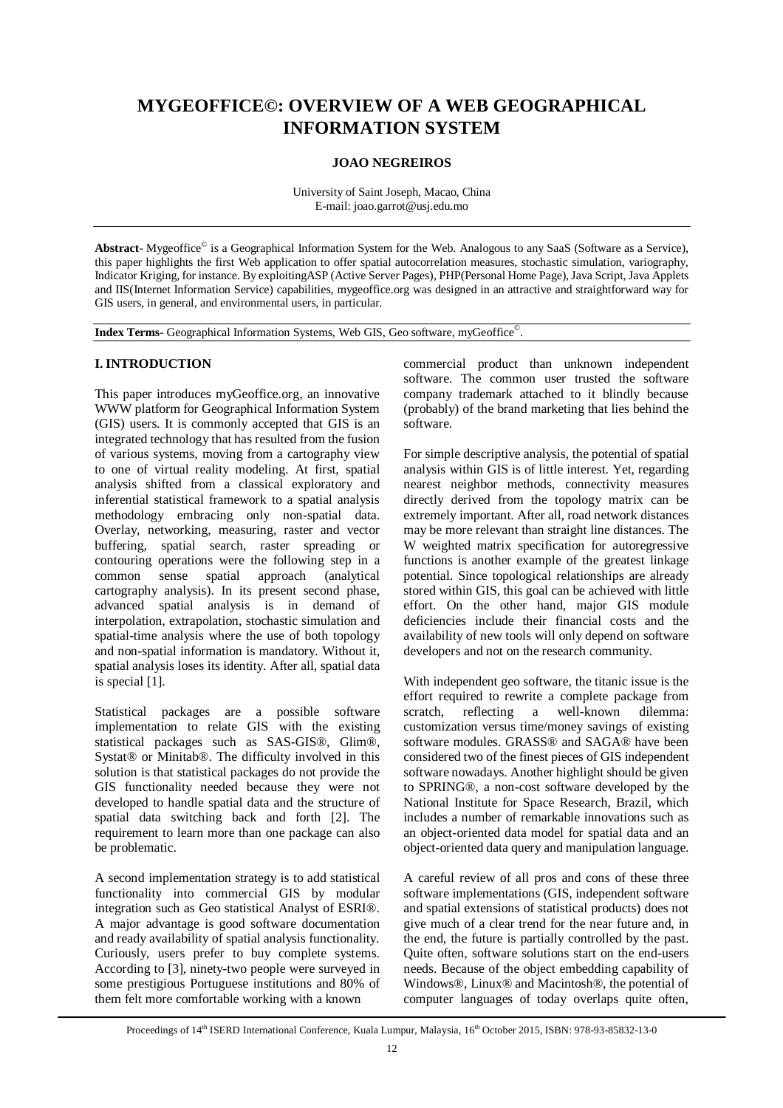# **MYGEOFFICE©: OVERVIEW OF A WEB GEOGRAPHICAL INFORMATION SYSTEM**

## **JOAO NEGREIROS**

University of Saint Joseph, Macao, China E-mail: joao.garrot@usj.edu.mo

Abstract- Mygeoffice<sup>©</sup> is a Geographical Information System for the Web. Analogous to any SaaS (Software as a Service), this paper highlights the first Web application to offer spatial autocorrelation measures, stochastic simulation, variography, Indicator Kriging, for instance. By exploitingASP (Active Server Pages), PHP(Personal Home Page), Java Script, Java Applets and IIS(Internet Information Service) capabilities, mygeoffice.org was designed in an attractive and straightforward way for GIS users, in general, and environmental users, in particular.

**Index Terms**- Geographical Information Systems, Web GIS, Geo software, myGeoffice© .

## **I. INTRODUCTION**

This paper introduces myGeoffice.org, an innovative WWW platform for Geographical Information System (GIS) users. It is commonly accepted that GIS is an integrated technology that has resulted from the fusion of various systems, moving from a cartography view to one of virtual reality modeling. At first, spatial analysis shifted from a classical exploratory and inferential statistical framework to a spatial analysis methodology embracing only non-spatial data. Overlay, networking, measuring, raster and vector buffering, spatial search, raster spreading or contouring operations were the following step in a common sense spatial approach (analytical cartography analysis). In its present second phase, advanced spatial analysis is in demand of interpolation, extrapolation, stochastic simulation and spatial-time analysis where the use of both topology and non-spatial information is mandatory. Without it, spatial analysis loses its identity. After all, spatial data is special [1].

Statistical packages are a possible software implementation to relate GIS with the existing statistical packages such as SAS-GIS®, Glim®, Systat® or Minitab®. The difficulty involved in this solution is that statistical packages do not provide the GIS functionality needed because they were not developed to handle spatial data and the structure of spatial data switching back and forth [2]. The requirement to learn more than one package can also be problematic.

A second implementation strategy is to add statistical functionality into commercial GIS by modular integration such as Geo statistical Analyst of ESRI®. A major advantage is good software documentation and ready availability of spatial analysis functionality. Curiously, users prefer to buy complete systems. According to [3], ninety-two people were surveyed in some prestigious Portuguese institutions and 80% of them felt more comfortable working with a known

commercial product than unknown independent software. The common user trusted the software company trademark attached to it blindly because (probably) of the brand marketing that lies behind the software.

For simple descriptive analysis, the potential of spatial analysis within GIS is of little interest. Yet, regarding nearest neighbor methods, connectivity measures directly derived from the topology matrix can be extremely important. After all, road network distances may be more relevant than straight line distances. The W weighted matrix specification for autoregressive functions is another example of the greatest linkage potential. Since topological relationships are already stored within GIS, this goal can be achieved with little effort. On the other hand, major GIS module deficiencies include their financial costs and the availability of new tools will only depend on software developers and not on the research community.

With independent geo software, the titanic issue is the effort required to rewrite a complete package from<br>scratch, reflecting a well-known dilemma: reflecting a well-known dilemma: customization versus time/money savings of existing software modules. GRASS<sup>®</sup> and SAGA<sup>®</sup> have been considered two of the finest pieces of GIS independent software nowadays. Another highlight should be given to SPRING®, a non-cost software developed by the National Institute for Space Research, Brazil, which includes a number of remarkable innovations such as an object-oriented data model for spatial data and an object-oriented data query and manipulation language.

A careful review of all pros and cons of these three software implementations (GIS, independent software and spatial extensions of statistical products) does not give much of a clear trend for the near future and, in the end, the future is partially controlled by the past. Quite often, software solutions start on the end-users needs. Because of the object embedding capability of Windows®, Linux® and Macintosh®, the potential of computer languages of today overlaps quite often,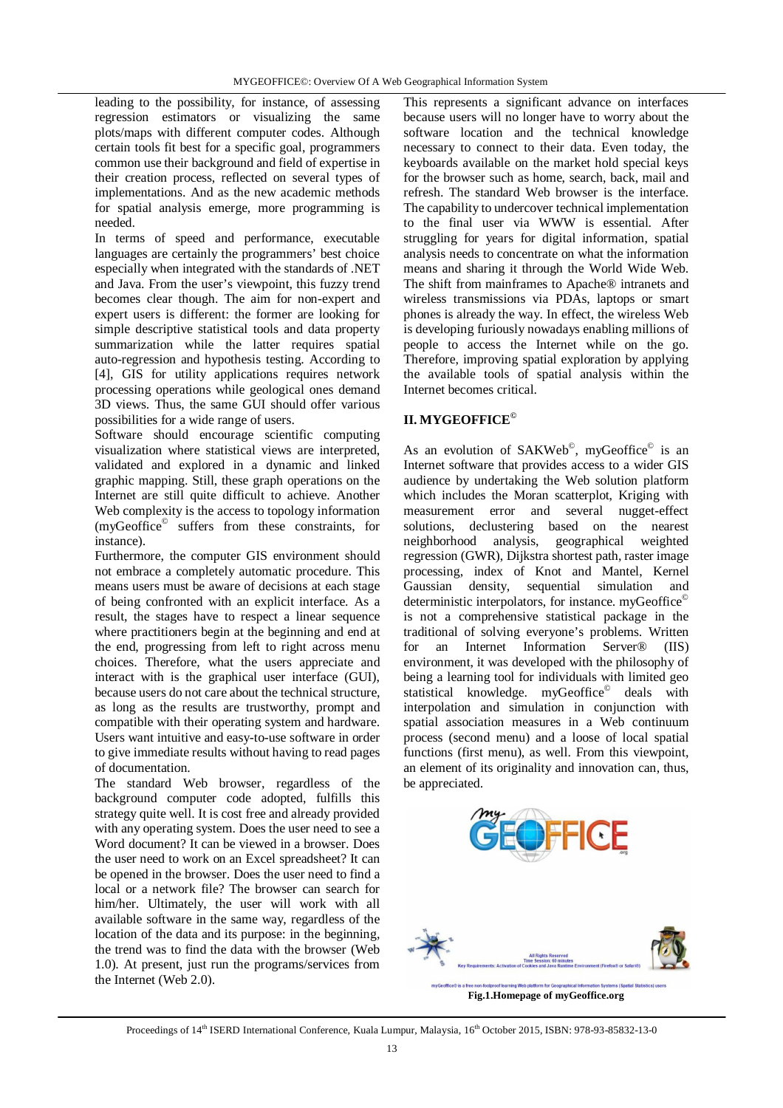leading to the possibility, for instance, of assessing regression estimators or visualizing the same plots/maps with different computer codes. Although certain tools fit best for a specific goal, programmers common use their background and field of expertise in their creation process, reflected on several types of implementations. And as the new academic methods for spatial analysis emerge, more programming is needed.

In terms of speed and performance, executable languages are certainly the programmers' best choice especially when integrated with the standards of .NET and Java. From the user's viewpoint, this fuzzy trend becomes clear though. The aim for non-expert and expert users is different: the former are looking for simple descriptive statistical tools and data property summarization while the latter requires spatial auto-regression and hypothesis testing. According to [4], GIS for utility applications requires network processing operations while geological ones demand 3D views. Thus, the same GUI should offer various possibilities for a wide range of users.

Software should encourage scientific computing visualization where statistical views are interpreted, validated and explored in a dynamic and linked graphic mapping. Still, these graph operations on the Internet are still quite difficult to achieve. Another Web complexity is the access to topology information (myGeoffice© suffers from these constraints, for instance).

Furthermore, the computer GIS environment should not embrace a completely automatic procedure. This means users must be aware of decisions at each stage of being confronted with an explicit interface. As a result, the stages have to respect a linear sequence where practitioners begin at the beginning and end at the end, progressing from left to right across menu choices. Therefore, what the users appreciate and interact with is the graphical user interface (GUI), because users do not care about the technical structure, as long as the results are trustworthy, prompt and compatible with their operating system and hardware. Users want intuitive and easy-to-use software in order to give immediate results without having to read pages of documentation.

The standard Web browser, regardless of the background computer code adopted, fulfills this strategy quite well. It is cost free and already provided with any operating system. Does the user need to see a Word document? It can be viewed in a browser. Does the user need to work on an Excel spreadsheet? It can be opened in the browser. Does the user need to find a local or a network file? The browser can search for him/her. Ultimately, the user will work with all available software in the same way, regardless of the location of the data and its purpose: in the beginning, the trend was to find the data with the browser (Web 1.0). At present, just run the programs/services from the Internet (Web 2.0).

This represents a significant advance on interfaces because users will no longer have to worry about the software location and the technical knowledge necessary to connect to their data. Even today, the keyboards available on the market hold special keys for the browser such as home, search, back, mail and refresh. The standard Web browser is the interface. The capability to undercover technical implementation to the final user via WWW is essential. After struggling for years for digital information, spatial analysis needs to concentrate on what the information means and sharing it through the World Wide Web. The shift from mainframes to Apache® intranets and wireless transmissions via PDAs, laptops or smart phones is already the way. In effect, the wireless Web is developing furiously nowadays enabling millions of people to access the Internet while on the go. Therefore, improving spatial exploration by applying the available tools of spatial analysis within the Internet becomes critical.

# **II. MYGEOFFICE©**

As an evolution of SAKWeb<sup>©</sup>, myGeoffice<sup>©</sup> is an Internet software that provides access to a wider GIS audience by undertaking the Web solution platform which includes the Moran scatterplot, Kriging with measurement error and several nugget-effect solutions, declustering based on the nearest neighborhood analysis, geographical weighted regression (GWR), Dijkstra shortest path, raster image processing, index of Knot and Mantel, Kernel Gaussian density, sequential simulation and deterministic interpolators, for instance. myGeoffice© is not a comprehensive statistical package in the traditional of solving everyone's problems. Written for an Internet Information Server® (IIS) environment, it was developed with the philosophy of being a learning tool for individuals with limited geo statistical knowledge. myGeoffice<sup>©</sup> deals with interpolation and simulation in conjunction with spatial association measures in a Web continuum process (second menu) and a loose of local spatial functions (first menu), as well. From this viewpoint, an element of its originality and innovation can, thus, be appreciated.



**Fig.1.Homepage of myGeoffice.org**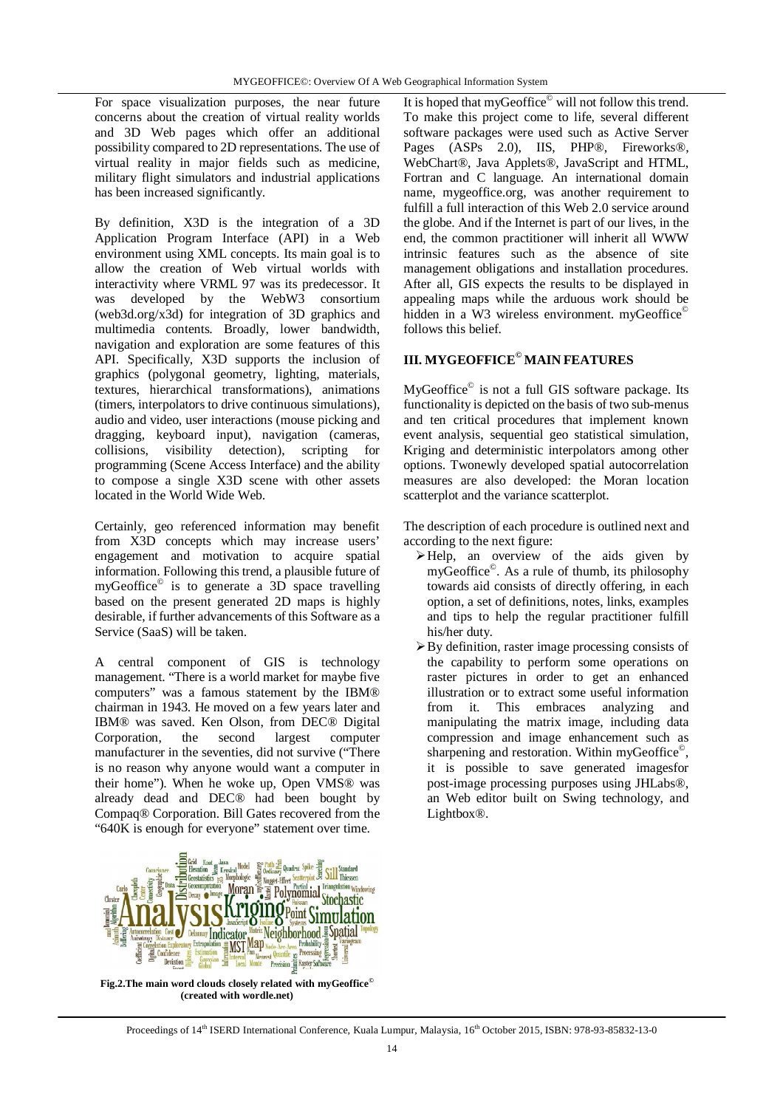For space visualization purposes, the near future concerns about the creation of virtual reality worlds and 3D Web pages which offer an additional possibility compared to 2D representations. The use of virtual reality in major fields such as medicine, military flight simulators and industrial applications has been increased significantly.

By definition, X3D is the integration of a 3D Application Program Interface (API) in a Web environment using XML concepts. Its main goal is to allow the creation of Web virtual worlds with interactivity where VRML 97 was its predecessor. It was developed by the WebW3 consortium (web3d.org/x3d) for integration of 3D graphics and multimedia contents. Broadly, lower bandwidth, navigation and exploration are some features of this API. Specifically, X3D supports the inclusion of graphics (polygonal geometry, lighting, materials, textures, hierarchical transformations), animations (timers, interpolators to drive continuous simulations), audio and video, user interactions (mouse picking and dragging, keyboard input), navigation (cameras, collisions, visibility detection), scripting for programming (Scene Access Interface) and the ability to compose a single X3D scene with other assets located in the World Wide Web.

Certainly, geo referenced information may benefit from X3D concepts which may increase users' engagement and motivation to acquire spatial information. Following this trend, a plausible future of myGeoffice© is to generate a 3D space travelling based on the present generated 2D maps is highly desirable, if further advancements of this Software as a Service (SaaS) will be taken.

A central component of GIS is technology management. "There is a world market for maybe five computers" was a famous statement by the IBM® chairman in 1943. He moved on a few years later and IBM® was saved. Ken Olson, from DEC® Digital Corporation, the second largest computer manufacturer in the seventies, did not survive ("There is no reason why anyone would want a computer in their home"). When he woke up, Open VMS® was already dead and DEC® had been bought by Compaq® Corporation. Bill Gates recovered from the "640K is enough for everyone" statement over time.



It is hoped that myGeoffice<sup>©</sup> will not follow this trend. To make this project come to life, several different software packages were used such as Active Server Pages (ASPs 2.0), IIS, PHP®, Fireworks®, WebChart®, Java Applets®, JavaScript and HTML, Fortran and C language. An international domain name, mygeoffice.org, was another requirement to fulfill a full interaction of this Web 2.0 service around the globe. And if the Internet is part of our lives, in the end, the common practitioner will inherit all WWW intrinsic features such as the absence of site management obligations and installation procedures. After all, GIS expects the results to be displayed in appealing maps while the arduous work should be hidden in a W3 wireless environment. myGeoffice $^{\circ}$ follows this belief.

# **III. MYGEOFFICE© MAIN FEATURES**

MyGeoffice<sup>©</sup> is not a full GIS software package. Its functionality is depicted on the basis of two sub-menus and ten critical procedures that implement known event analysis, sequential geo statistical simulation, Kriging and deterministic interpolators among other options. Twonewly developed spatial autocorrelation measures are also developed: the Moran location scatterplot and the variance scatterplot.

The description of each procedure is outlined next and according to the next figure:

- Help, an overview of the aids given by myGeoffice© . As a rule of thumb, its philosophy towards aid consists of directly offering, in each option, a set of definitions, notes, links, examples and tips to help the regular practitioner fulfill his/her duty.
- $\triangleright$  By definition, raster image processing consists of the capability to perform some operations on raster pictures in order to get an enhanced illustration or to extract some useful information from it. This embraces analyzing and manipulating the matrix image, including data compression and image enhancement such as sharpening and restoration. Within myGeoffice®, it is possible to save generated imagesfor post-image processing purposes using JHLabs®, an Web editor built on Swing technology, and Lightbox®.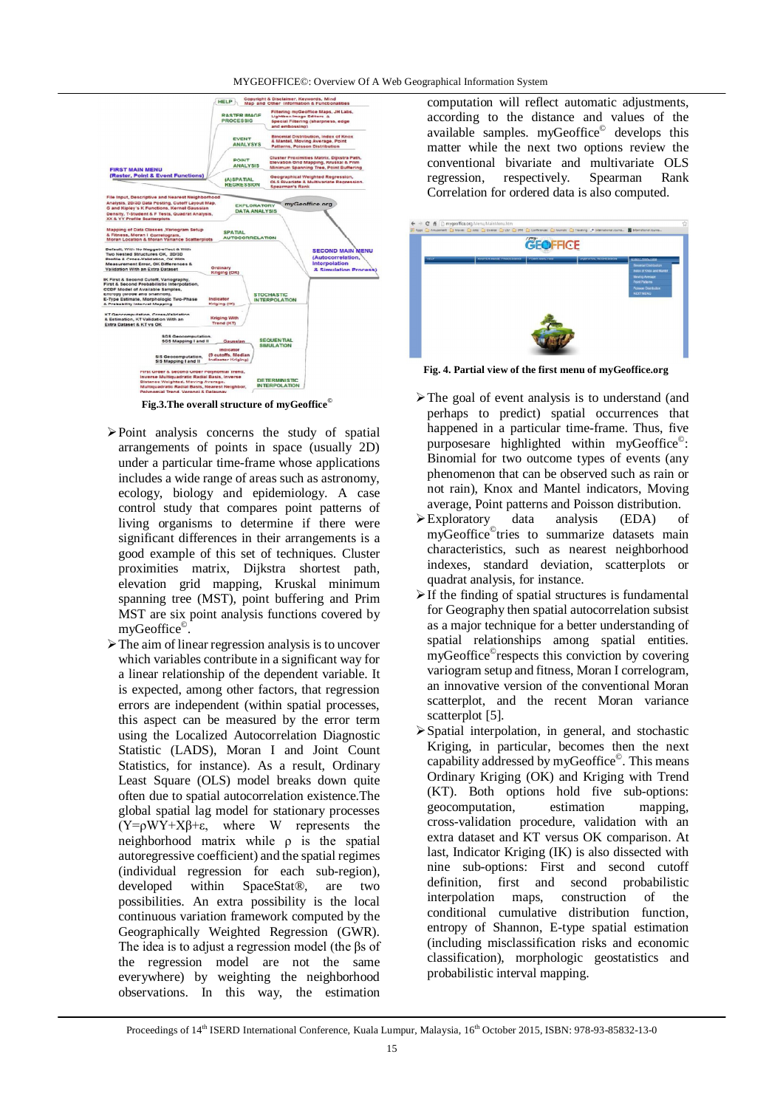#### MYGEOFFICE©: Overview Of A Web Geographical Information System



**Fig.3.The overall structure of myGeoffice©**

- $\triangleright$  Point analysis concerns the study of spatial arrangements of points in space (usually 2D) under a particular time-frame whose applications includes a wide range of areas such as astronomy, ecology, biology and epidemiology. A case control study that compares point patterns of living organisms to determine if there were significant differences in their arrangements is a good example of this set of techniques. Cluster proximities matrix, Dijkstra shortest path, elevation grid mapping, Kruskal minimum spanning tree (MST), point buffering and Prim MST are six point analysis functions covered by myGeoffice© .
- The aim of linear regression analysis is to uncover which variables contribute in a significant way for a linear relationship of the dependent variable. It is expected, among other factors, that regression errors are independent (within spatial processes, this aspect can be measured by the error term using the Localized Autocorrelation Diagnostic Statistic (LADS), Moran I and Joint Count Statistics, for instance). As a result, Ordinary Least Square (OLS) model breaks down quite often due to spatial autocorrelation existence.The global spatial lag model for stationary processes  $(Y=0 \text{WY}+X\beta+\epsilon)$  where W represents the neighborhood matrix while ρ is the spatial autoregressive coefficient) and the spatial regimes (individual regression for each sub-region), developed within SpaceStat®, are two possibilities. An extra possibility is the local continuous variation framework computed by the Geographically Weighted Regression (GWR). The idea is to adjust a regression model (the βs of the regression model are not the same everywhere) by weighting the neighborhood observations. In this way, the estimation

computation will reflect automatic adjustments, according to the distance and values of the available samples. myGeoffice<sup>©</sup> develops this matter while the next two options review the conventional bivariate and multivariate OLS regression, respectively. Spearman Rank Correlation for ordered data is also computed.



**Fig. 4. Partial view of the first menu of myGeoffice.org**

- $\triangleright$  The goal of event analysis is to understand (and perhaps to predict) spatial occurrences that happened in a particular time-frame. Thus, five purposesare highlighted within myGeoffice<sup>®</sup>: Binomial for two outcome types of events (any phenomenon that can be observed such as rain or not rain), Knox and Mantel indicators, Moving average, Point patterns and Poisson distribution.
- Exploratory data analysis (EDA) of myGeoffice© tries to summarize datasets main characteristics, such as nearest neighborhood indexes, standard deviation, scatterplots or quadrat analysis, for instance.
- $\triangleright$  If the finding of spatial structures is fundamental for Geography then spatial autocorrelation subsist as a major technique for a better understanding of spatial relationships among spatial entities. myGeoffice© respects this conviction by covering variogram setup and fitness, Moran I correlogram, an innovative version of the conventional Moran scatterplot, and the recent Moran variance scatterplot [5].
- $\triangleright$  Spatial interpolation, in general, and stochastic Kriging, in particular, becomes then the next capability addressed by myGeoffice<sup>©</sup>. This means Ordinary Kriging (OK) and Kriging with Trend (KT). Both options hold five sub-options: geocomputation, estimation cross-validation procedure, validation with an extra dataset and KT versus OK comparison. At last, Indicator Kriging (IK) is also dissected with nine sub-options: First and second cutoff definition, first and second probabilistic interpolation maps, construction of the conditional cumulative distribution function, entropy of Shannon, E-type spatial estimation (including misclassification risks and economic classification), morphologic geostatistics and probabilistic interval mapping.